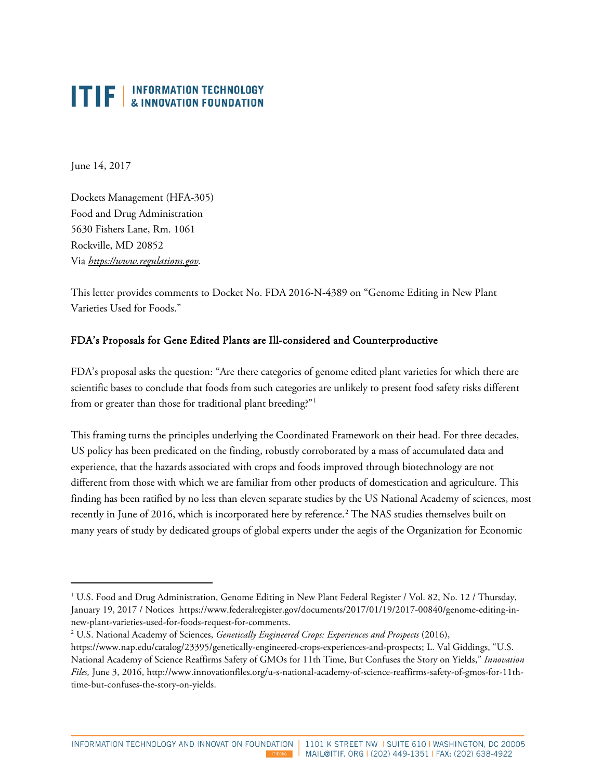## **ITIF** | INFORMATION TECHNOLOGY

June 14, 2017

1

Dockets Management (HFA-305) Food and Drug Administration 5630 Fishers Lane, Rm. 1061 Rockville, MD 20852 Via *[https://www.regulations.gov.](https://www.regulations.gov/)*

This letter provides comments to Docket No. FDA 2016-N-4389 on "Genome Editing in New Plant Varieties Used for Foods."

## FDA's Proposals for Gene Edited Plants are Ill-considered and Counterproductive

FDA's proposal asks the question: "Are there categories of genome edited plant varieties for which there are scientific bases to conclude that foods from such categories are unlikely to present food safety risks different from or greater than those for traditional plant breeding?"<sup>[1](#page-0-0)</sup>

This framing turns the principles underlying the Coordinated Framework on their head. For three decades, US policy has been predicated on the finding, robustly corroborated by a mass of accumulated data and experience, that the hazards associated with crops and foods improved through biotechnology are not different from those with which we are familiar from other products of domestication and agriculture. This finding has been ratified by no less than eleven separate studies by the US National Academy of sciences, most recently in June of [2](#page-0-1)016, which is incorporated here by reference.<sup>2</sup> The NAS studies themselves built on many years of study by dedicated groups of global experts under the aegis of the Organization for Economic

<span id="page-0-0"></span><sup>1</sup> U.S. Food and Drug Administration, Genome Editing in New Plant Federal Register / Vol. 82, No. 12 / Thursday, January 19, 2017 / Notices [https://www.federalregister.gov/documents/2017/01/19/2017-00840/genome-editing-in](https://www.federalregister.gov/documents/2017/01/19/2017-00840/genome-editing-in-new-plant-varieties-used-for-foods-request-for-comments)[new-plant-varieties-used-for-foods-request-for-comments.](https://www.federalregister.gov/documents/2017/01/19/2017-00840/genome-editing-in-new-plant-varieties-used-for-foods-request-for-comments)

<span id="page-0-1"></span><sup>2</sup> U.S. National Academy of Sciences, *Genetically Engineered Crops: Experiences and Prospects* (2016),

[https://www.nap.edu/catalog/23395/genetically-engineered-crops-experiences-and-prospects;](https://www.nap.edu/catalog/23395/genetically-engineered-crops-experiences-and-prospects) L. Val Giddings, "U.S. National Academy of Science Reaffirms Safety of GMOs for 11th Time, But Confuses the Story on Yields," *Innovation Files,* June 3, 2016, [http://www.innovationfiles.org/u-s-national-academy-of-science-reaffirms-safety-of-gmos-for-11th](http://www.innovationfiles.org/u-s-national-academy-of-science-reaffirms-safety-of-gmos-for-11th-time-but-confuses-the-story-on-yields/)[time-but-confuses-the-story-on-yields.](http://www.innovationfiles.org/u-s-national-academy-of-science-reaffirms-safety-of-gmos-for-11th-time-but-confuses-the-story-on-yields/)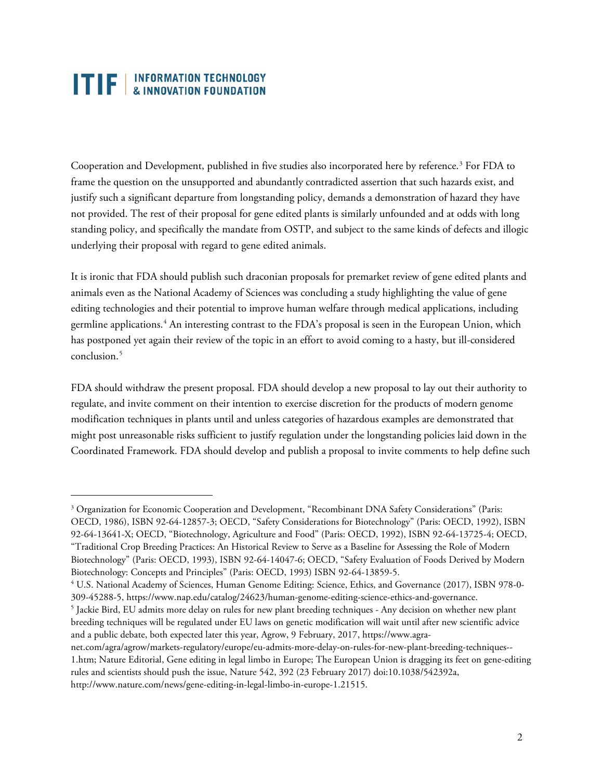## **ITIF** | INFORMATION TECHNOLOGY

 $\ddot{\phantom{a}}$ 

Cooperation and Development, published in five studies also incorporated here by reference.<sup>[3](#page-1-0)</sup> For FDA to frame the question on the unsupported and abundantly contradicted assertion that such hazards exist, and justify such a significant departure from longstanding policy, demands a demonstration of hazard they have not provided. The rest of their proposal for gene edited plants is similarly unfounded and at odds with long standing policy, and specifically the mandate from OSTP, and subject to the same kinds of defects and illogic underlying their proposal with regard to gene edited animals.

It is ironic that FDA should publish such draconian proposals for premarket review of gene edited plants and animals even as the National Academy of Sciences was concluding a study highlighting the value of gene editing technologies and their potential to improve human welfare through medical applications, including germline applications. [4](#page-1-1) An interesting contrast to the FDA's proposal is seen in the European Union, which has postponed yet again their review of the topic in an effort to avoid coming to a hasty, but ill-considered conclusion.<sup>[5](#page-1-2)</sup>

FDA should withdraw the present proposal. FDA should develop a new proposal to lay out their authority to regulate, and invite comment on their intention to exercise discretion for the products of modern genome modification techniques in plants until and unless categories of hazardous examples are demonstrated that might post unreasonable risks sufficient to justify regulation under the longstanding policies laid down in the Coordinated Framework. FDA should develop and publish a proposal to invite comments to help define such

<span id="page-1-0"></span><sup>&</sup>lt;sup>3</sup> Organization for Economic Cooperation and Development, "Recombinant DNA Safety Considerations" (Paris: OECD, 1986), ISBN 92-64-12857-3; OECD, "Safety Considerations for Biotechnology" (Paris: OECD, 1992), ISBN 92-64-13641-X; OECD, "Biotechnology, Agriculture and Food" (Paris: OECD, 1992), ISBN 92-64-13725-4; OECD, "Traditional Crop Breeding Practices: An Historical Review to Serve as a Baseline for Assessing the Role of Modern Biotechnology" (Paris: OECD, 1993), ISBN 92-64-14047-6; OECD, "Safety Evaluation of Foods Derived by Modern Biotechnology: Concepts and Principles" (Paris: OECD, 1993) ISBN 92-64-13859-5. 4 U.S. National Academy of Sciences, Human Genome Editing: Science, Ethics, and Governance (2017), ISBN 978-0-

<span id="page-1-1"></span><sup>309-45288-5,</sup> [https://www.nap.edu/catalog/24623/human-genome-editing-science-ethics-and-governance.](https://www.nap.edu/catalog/24623/human-genome-editing-science-ethics-and-governance) 5 Jackie Bird, EU admits more delay on rules for new plant breeding techniques - Any decision on whether new plant

<span id="page-1-2"></span>breeding techniques will be regulated under EU laws on genetic modification will wait until after new scientific advice and a public debate, both expected later this year, Agrow, 9 February, 2017, [https://www.agra-](https://www.agra-net.com/agra/agrow/markets-regulatory/europe/eu-admits-more-delay-on-rules-for-new-plant-breeding-techniques--1.htm)

[net.com/agra/agrow/markets-regulatory/europe/eu-admits-more-delay-on-rules-for-new-plant-breeding-techniques--](https://www.agra-net.com/agra/agrow/markets-regulatory/europe/eu-admits-more-delay-on-rules-for-new-plant-breeding-techniques--1.htm) [1.htm;](https://www.agra-net.com/agra/agrow/markets-regulatory/europe/eu-admits-more-delay-on-rules-for-new-plant-breeding-techniques--1.htm) Nature Editorial, Gene editing in legal limbo in Europe; The European Union is dragging its feet on gene-editing rules and scientists should push the issue, Nature 542, 392 (23 February 2017) doi:10.1038/542392a, [http://www.nature.com/news/gene-editing-in-legal-limbo-in-europe-1.21515.](http://www.nature.com/news/gene-editing-in-legal-limbo-in-europe-1.21515)